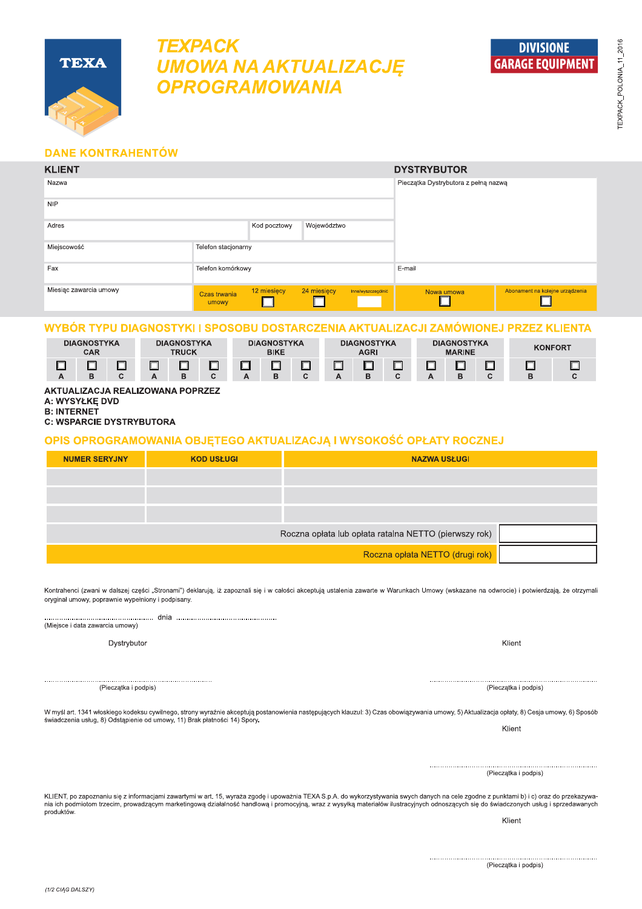

**DIVISIONE** 

**GARAGE EOUIPMENT** 

# **DANE KONTRAHENTÓW**

**TEXA** 

**TEXPACK** 

| <b>KLIENT</b>          | <b>DYSTRYBUTOR</b>    |                                      |             |                    |            |                                 |  |  |
|------------------------|-----------------------|--------------------------------------|-------------|--------------------|------------|---------------------------------|--|--|
| Nazwa                  |                       | Pieczątka Dystrybutora z pełną nazwą |             |                    |            |                                 |  |  |
| <b>NIP</b>             |                       |                                      |             |                    |            |                                 |  |  |
| Adres                  |                       | Kod pocztowy                         | Województwo |                    |            |                                 |  |  |
| Miejscowość            | Telefon stacjonarny   |                                      |             |                    |            |                                 |  |  |
| Fax                    | Telefon komórkowy     |                                      |             |                    | E-mail     |                                 |  |  |
| Miesiąc zawarcia umowy | Czas trwania<br>umowy | 12 miesięcy                          | 24 miesięcy | Inne/wyszczególnić | Nowa umowa | Abonament na kolejne urządzenia |  |  |

**UMOWA NA AKTUALIZACJĘ** 

**OPROGRAMOWANIA** 

# WYBÓR TYPU DIAGNOSTYKI I SPOSOBU DOSTARCZENIA AKTUALIZACJI ZAMÓWIONEJ PRZEZ KLIENTA

|   | <b>DIAGNOSTYKA</b><br>CAR |  | <b>DIAGNOSTYKA</b><br><b>TRUCK</b> |  | <b>DIAGNOSTYKA</b><br><b>BIKE</b> |  | <b>DIAGNOSTYKA</b><br><b>AGRI</b> |  | <b>DIAGNOSTYKA</b><br><b>MARINE</b> | <b>KONFORT</b> |  |
|---|---------------------------|--|------------------------------------|--|-----------------------------------|--|-----------------------------------|--|-------------------------------------|----------------|--|
| А |                           |  |                                    |  |                                   |  |                                   |  |                                     | D              |  |

## AKTUALIZACJA REALIZOWANA POPRZEZ

A: WYSYŁKE DVD

**B: INTERNET C: WSPARCIE DYSTRYBUTORA** 

## OPIS OPROGRAMOWANIA OBJĘTEGO AKTUALIZACJĄ I WYSOKOŚĆ OPŁATY ROCZNEJ

| <b>NUMER SERYJNY</b> | <b>KOD USŁUGI</b> | <b>NAZWA USŁUGI</b>                                   |  |  |  |  |
|----------------------|-------------------|-------------------------------------------------------|--|--|--|--|
|                      |                   |                                                       |  |  |  |  |
|                      |                   |                                                       |  |  |  |  |
|                      |                   |                                                       |  |  |  |  |
|                      |                   | Roczna opłata lub opłata ratalna NETTO (pierwszy rok) |  |  |  |  |
|                      |                   | Roczna opłata NETTO (drugi rok)                       |  |  |  |  |

Kontrahenci (zwani w dalszej części "Stronami") deklarują, iż zapoznali się i w całości akceptują ustalenia zawarte w Warunkach Umowy (wskazane na odwrocie) i potwierdzają, że otrzymali oryginał umowy, poprawnie wypełniony i podpisany.

(Miejsce i data zawarcia umowy)

Dystrybutor

W myśl art. 1341 włoskiego kodeksu cywilnego, strony wyraźnie akceptują postanowienia następujących klauzul: 3) Czas obowiązywania umowy, 5) Aktualizacja opłaty, 8) Cesja umowy, 6) Sposób

(Pieczątka i podpis)

KLIENT, po zapoznaniu się z informacjami zawartymi w art. 15, wyraża zgodę i upoważnia TEXA S.p.A. do wykorzystywania swych danych na cele zgodne z punktami b) i c) oraz do przekazywania ich podmiotom trzecim, prowadzącym marketingową działalność handlową i promocyjną, wraz z wysyłką materiałów ilustracyjnych odnoszących się do świadczonych usług i sprzedawanych produktów.

Klient

(1/2 CIAG DALSZY)

(Pieczątka i podpis)

świadczenia usług, 8) Odstąpienie od umowy, 11) Brak płatności 14) Spory.

(Pieczątka i podpis)

Klient

Klient